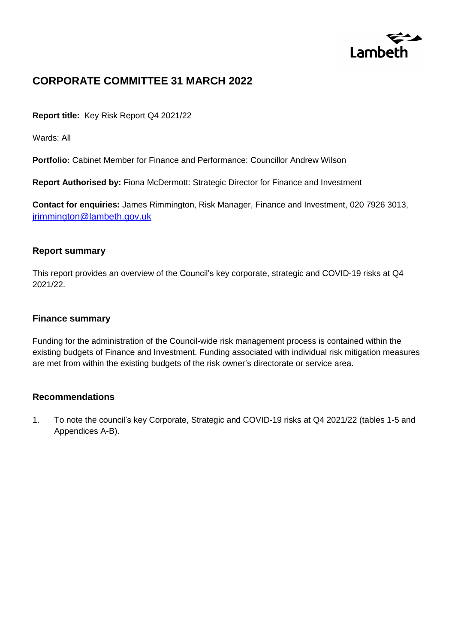

# **CORPORATE COMMITTEE 31 MARCH 2022**

**Report title:** Key Risk Report Q4 2021/22

Wards: All

**Portfolio:** Cabinet Member for Finance and Performance: Councillor Andrew Wilson

**Report Authorised by:** Fiona McDermott: Strategic Director for Finance and Investment

**Contact for enquiries:** James Rimmington, Risk Manager, Finance and Investment, 020 7926 3013, [jrimmington@lambeth.gov.uk](mailto:jrimmington@lambeth.gov.uk)

#### **Report summary**

This report provides an overview of the Council's key corporate, strategic and COVID-19 risks at Q4 2021/22.

#### **Finance summary**

Funding for the administration of the Council-wide risk management process is contained within the existing budgets of Finance and Investment. Funding associated with individual risk mitigation measures are met from within the existing budgets of the risk owner's directorate or service area.

## **Recommendations**

1. To note the council's key Corporate, Strategic and COVID-19 risks at Q4 2021/22 (tables 1-5 and Appendices A-B).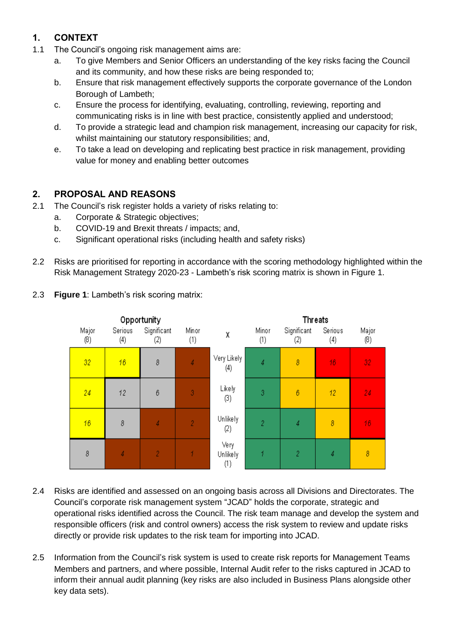# **1. CONTEXT**

- 1.1 The Council's ongoing risk management aims are:
	- a. To give Members and Senior Officers an understanding of the key risks facing the Council and its community, and how these risks are being responded to;
	- b. Ensure that risk management effectively supports the corporate governance of the London Borough of Lambeth;
	- c. Ensure the process for identifying, evaluating, controlling, reviewing, reporting and communicating risks is in line with best practice, consistently applied and understood;
	- d. To provide a strategic lead and champion risk management, increasing our capacity for risk, whilst maintaining our statutory responsibilities; and,
	- e. To take a lead on developing and replicating best practice in risk management, providing value for money and enabling better outcomes

## **2. PROPOSAL AND REASONS**

- 2.1 The Council's risk register holds a variety of risks relating to:
	- a. Corporate & Strategic objectives;
	- b. COVID-19 and Brexit threats / impacts; and,
	- c. Significant operational risks (including health and safety risks)
- 2.2 Risks are prioritised for reporting in accordance with the scoring methodology highlighted within the Risk Management Strategy 2020-23 - Lambeth's risk scoring matrix is shown in Figure 1.

 $(8)$ 

32

24

16

8



2.3 **Figure 1**: Lambeth's risk scoring matrix:

2.4 Risks are identified and assessed on an ongoing basis across all Divisions and Directorates. The Council's corporate risk management system "JCAD" holds the corporate, strategic and operational risks identified across the Council. The risk team manage and develop the system and responsible officers (risk and control owners) access the risk system to review and update risks directly or provide risk updates to the risk team for importing into JCAD.

 $(1)$ 

2.5 Information from the Council's risk system is used to create risk reports for Management Teams Members and partners, and where possible, Internal Audit refer to the risks captured in JCAD to inform their annual audit planning (key risks are also included in Business Plans alongside other key data sets).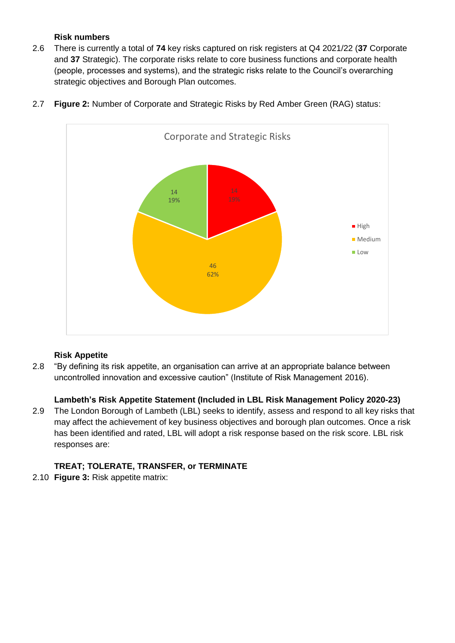## **Risk numbers**

2.6 There is currently a total of **74** key risks captured on risk registers at Q4 2021/22 (**37** Corporate and **37** Strategic). The corporate risks relate to core business functions and corporate health (people, processes and systems), and the strategic risks relate to the Council's overarching strategic objectives and Borough Plan outcomes.



2.7 **Figure 2:** Number of Corporate and Strategic Risks by Red Amber Green (RAG) status:

## **Risk Appetite**

2.8 "By defining its risk appetite, an organisation can arrive at an appropriate balance between uncontrolled innovation and excessive caution" (Institute of Risk Management 2016).

## **Lambeth's Risk Appetite Statement (Included in LBL Risk Management Policy 2020-23)**

2.9 The London Borough of Lambeth (LBL) seeks to identify, assess and respond to all key risks that may affect the achievement of key business objectives and borough plan outcomes. Once a risk has been identified and rated, LBL will adopt a risk response based on the risk score. LBL risk responses are:

## **TREAT; TOLERATE, TRANSFER, or TERMINATE**

2.10 **Figure 3:** Risk appetite matrix: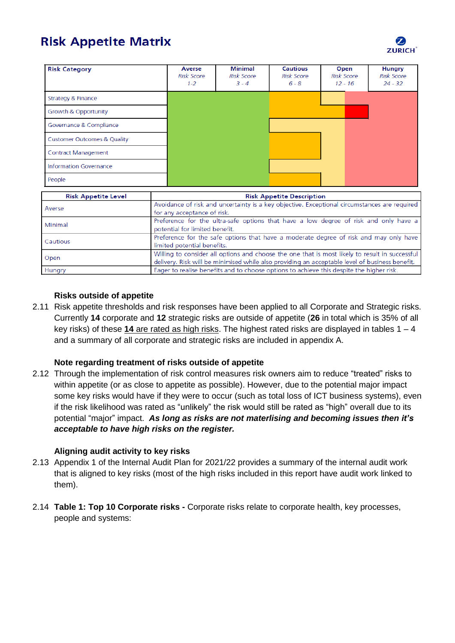# **Risk Appetite Matrix**

| <b>Risk Category</b>                   |                                                                                              | Averse<br>Risk Score<br>$1 - 2$  | <b>Minimal</b><br><b>Risk Score</b><br>$3 - 4$ | Cautious<br><b>Risk Score</b><br>$6 - 8$ | Open<br><b>Risk Score</b><br>$12 - 16$ | Hungry<br><b>Risk Score</b><br>$24 - 32$ |
|----------------------------------------|----------------------------------------------------------------------------------------------|----------------------------------|------------------------------------------------|------------------------------------------|----------------------------------------|------------------------------------------|
| Strategy & Finance                     |                                                                                              |                                  |                                                |                                          |                                        |                                          |
| Growth & Opportunity                   |                                                                                              |                                  |                                                |                                          |                                        |                                          |
| Governance & Compliance                |                                                                                              |                                  |                                                |                                          |                                        |                                          |
| <b>Customer Outcomes &amp; Quality</b> |                                                                                              |                                  |                                                |                                          |                                        |                                          |
| Contract Management                    |                                                                                              |                                  |                                                |                                          |                                        |                                          |
| Information Governance                 |                                                                                              |                                  |                                                |                                          |                                        |                                          |
| People                                 |                                                                                              |                                  |                                                |                                          |                                        |                                          |
| <b>Risk Appetite Level</b>             |                                                                                              | <b>Risk Appetite Description</b> |                                                |                                          |                                        |                                          |
|                                        | Avoidance of risk and uncertainty is a key objective. Exceptional circumstances are required |                                  |                                                |                                          |                                        |                                          |

| Avoidance of risk and uncertainty is a key objective. Exceptional circumstances are required   |
|------------------------------------------------------------------------------------------------|
| for any acceptance of risk.                                                                    |
| Preference for the ultra-safe options that have a low degree of risk and only have a           |
| potential for limited benefit.                                                                 |
| Preference for the safe options that have a moderate degree of risk and may only have          |
| limited potential benefits.                                                                    |
| Willing to consider all options and choose the one that is most likely to result in successful |
| delivery. Risk will be minimised while also providing an acceptable level of business benefit. |
| Eager to realise benefits and to choose options to achieve this despite the higher risk.       |
|                                                                                                |

#### **Risks outside of appetite**

2.11 Risk appetite thresholds and risk responses have been applied to all Corporate and Strategic risks. Currently **14** corporate and **12** strategic risks are outside of appetite (**26** in total which is 35% of all key risks) of these **14** are rated as high risks. The highest rated risks are displayed in tables 1 – 4 and a summary of all corporate and strategic risks are included in appendix A.

#### **Note regarding treatment of risks outside of appetite**

2.12 Through the implementation of risk control measures risk owners aim to reduce "treated" risks to within appetite (or as close to appetite as possible). However, due to the potential major impact some key risks would have if they were to occur (such as total loss of ICT business systems), even if the risk likelihood was rated as "unlikely" the risk would still be rated as "high" overall due to its potential "major" impact. *As long as risks are not materlising and becoming issues then it's acceptable to have high risks on the register.*

#### **Aligning audit activity to key risks**

- 2.13 Appendix 1 of the Internal Audit Plan for 2021/22 provides a summary of the internal audit work that is aligned to key risks (most of the high risks included in this report have audit work linked to them).
- 2.14 **Table 1: Top 10 Corporate risks -** Corporate risks relate to corporate health, key processes, people and systems:

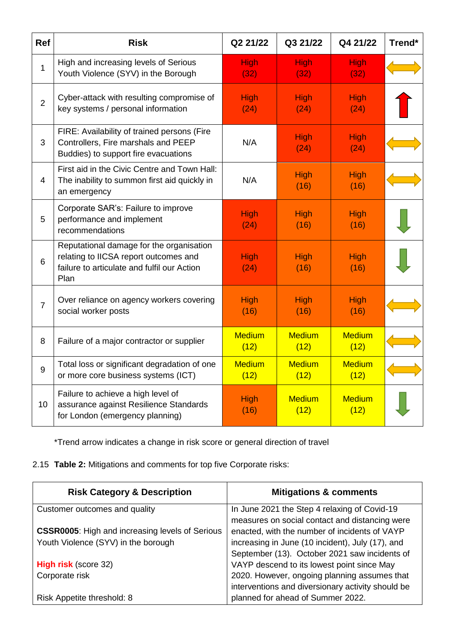| <b>Ref</b>     | <b>Risk</b>                                                                                                                              | Q2 21/22              | Q3 21/22              | Q4 21/22              | Trend* |
|----------------|------------------------------------------------------------------------------------------------------------------------------------------|-----------------------|-----------------------|-----------------------|--------|
| $\mathbf{1}$   | High and increasing levels of Serious<br>Youth Violence (SYV) in the Borough                                                             | <b>High</b><br>(32)   | <b>High</b><br>(32)   | <b>High</b><br>(32)   |        |
| $\overline{2}$ | Cyber-attack with resulting compromise of<br>key systems / personal information                                                          | <b>High</b><br>(24)   | <b>High</b><br>(24)   | <b>High</b><br>(24)   |        |
| 3              | FIRE: Availability of trained persons (Fire<br>Controllers, Fire marshals and PEEP<br>Buddies) to support fire evacuations               | N/A                   | High<br>(24)          | High<br>(24)          |        |
| $\overline{4}$ | First aid in the Civic Centre and Town Hall:<br>The inability to summon first aid quickly in<br>an emergency                             | N/A                   | High<br>(16)          | High<br>(16)          |        |
| 5              | Corporate SAR's: Failure to improve<br>performance and implement<br>recommendations                                                      | High<br>(24)          | <b>High</b><br>(16)   | High<br>(16)          |        |
| 6              | Reputational damage for the organisation<br>relating to IICSA report outcomes and<br>failure to articulate and fulfil our Action<br>Plan | High<br>(24)          | <b>High</b><br>(16)   | High<br>(16)          |        |
| $\overline{7}$ | Over reliance on agency workers covering<br>social worker posts                                                                          | High<br>(16)          | <b>High</b><br>(16)   | High<br>(16)          |        |
| 8              | Failure of a major contractor or supplier                                                                                                | <b>Medium</b><br>(12) | <b>Medium</b><br>(12) | <b>Medium</b><br>(12) |        |
| 9              | Total loss or significant degradation of one<br>or more core business systems (ICT)                                                      | <b>Medium</b><br>(12) | <b>Medium</b><br>(12) | <b>Medium</b><br>(12) |        |
| 10             | Failure to achieve a high level of<br>assurance against Resilience Standards<br>for London (emergency planning)                          | High<br>(16)          | <b>Medium</b><br>(12) | <b>Medium</b><br>(12) |        |

\*Trend arrow indicates a change in risk score or general direction of travel

2.15 **Table 2:** Mitigations and comments for top five Corporate risks:

| <b>Risk Category &amp; Description</b>                 | <b>Mitigations &amp; comments</b>                 |
|--------------------------------------------------------|---------------------------------------------------|
| Customer outcomes and quality                          | In June 2021 the Step 4 relaxing of Covid-19      |
|                                                        | measures on social contact and distancing were    |
| <b>CSSR0005:</b> High and increasing levels of Serious | enacted, with the number of incidents of VAYP     |
| Youth Violence (SYV) in the borough                    | increasing in June (10 incident), July (17), and  |
|                                                        | September (13). October 2021 saw incidents of     |
| <b>High risk (score 32)</b>                            | VAYP descend to its lowest point since May        |
| Corporate risk                                         | 2020. However, ongoing planning assumes that      |
|                                                        | interventions and diversionary activity should be |
| Risk Appetite threshold: 8                             | planned for ahead of Summer 2022.                 |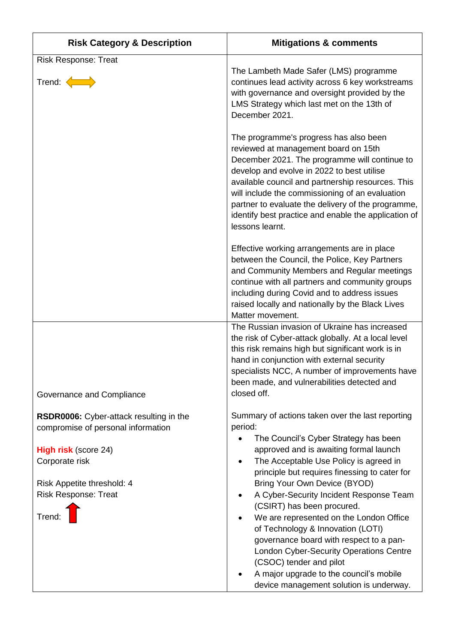| <b>Risk Category &amp; Description</b>                                                                                                                     | <b>Mitigations &amp; comments</b>                                                                                                                                                                                                                                                                                                                                                                                      |
|------------------------------------------------------------------------------------------------------------------------------------------------------------|------------------------------------------------------------------------------------------------------------------------------------------------------------------------------------------------------------------------------------------------------------------------------------------------------------------------------------------------------------------------------------------------------------------------|
| <b>Risk Response: Treat</b><br>Trend: <                                                                                                                    | The Lambeth Made Safer (LMS) programme<br>continues lead activity across 6 key workstreams<br>with governance and oversight provided by the<br>LMS Strategy which last met on the 13th of<br>December 2021.                                                                                                                                                                                                            |
|                                                                                                                                                            | The programme's progress has also been<br>reviewed at management board on 15th<br>December 2021. The programme will continue to<br>develop and evolve in 2022 to best utilise<br>available council and partnership resources. This<br>will include the commissioning of an evaluation<br>partner to evaluate the delivery of the programme,<br>identify best practice and enable the application of<br>lessons learnt. |
|                                                                                                                                                            | Effective working arrangements are in place<br>between the Council, the Police, Key Partners<br>and Community Members and Regular meetings<br>continue with all partners and community groups<br>including during Covid and to address issues<br>raised locally and nationally by the Black Lives<br>Matter movement.                                                                                                  |
|                                                                                                                                                            | The Russian invasion of Ukraine has increased<br>the risk of Cyber-attack globally. At a local level<br>this risk remains high but significant work is in<br>hand in conjunction with external security<br>specialists NCC, A number of improvements have<br>been made, and vulnerabilities detected and<br>closed off.                                                                                                |
| Governance and Compliance<br>RSDR0006: Cyber-attack resulting in the                                                                                       | Summary of actions taken over the last reporting                                                                                                                                                                                                                                                                                                                                                                       |
| compromise of personal information<br><b>High risk (score 24)</b><br>Corporate risk<br>Risk Appetite threshold: 4<br><b>Risk Response: Treat</b><br>Trend: | period:<br>The Council's Cyber Strategy has been<br>approved and is awaiting formal launch<br>The Acceptable Use Policy is agreed in<br>principle but requires finessing to cater for<br>Bring Your Own Device (BYOD)<br>A Cyber-Security Incident Response Team<br>(CSIRT) has been procured.<br>We are represented on the London Office<br>of Technology & Innovation (LOTI)                                         |
|                                                                                                                                                            | governance board with respect to a pan-<br><b>London Cyber-Security Operations Centre</b><br>(CSOC) tender and pilot<br>A major upgrade to the council's mobile<br>device management solution is underway.                                                                                                                                                                                                             |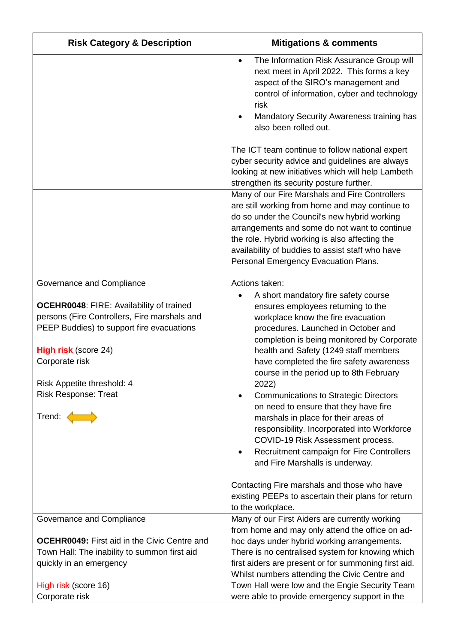| <b>Risk Category &amp; Description</b>                                                                                                                                                                                                                                                            | <b>Mitigations &amp; comments</b>                                                                                                                                                                                                                                                                                                                                                                                                                                                                                                                                                                                                                          |
|---------------------------------------------------------------------------------------------------------------------------------------------------------------------------------------------------------------------------------------------------------------------------------------------------|------------------------------------------------------------------------------------------------------------------------------------------------------------------------------------------------------------------------------------------------------------------------------------------------------------------------------------------------------------------------------------------------------------------------------------------------------------------------------------------------------------------------------------------------------------------------------------------------------------------------------------------------------------|
|                                                                                                                                                                                                                                                                                                   | The Information Risk Assurance Group will<br>next meet in April 2022. This forms a key<br>aspect of the SIRO's management and<br>control of information, cyber and technology<br>risk<br>Mandatory Security Awareness training has<br>also been rolled out.                                                                                                                                                                                                                                                                                                                                                                                                |
|                                                                                                                                                                                                                                                                                                   | The ICT team continue to follow national expert<br>cyber security advice and guidelines are always<br>looking at new initiatives which will help Lambeth                                                                                                                                                                                                                                                                                                                                                                                                                                                                                                   |
|                                                                                                                                                                                                                                                                                                   | strengthen its security posture further.                                                                                                                                                                                                                                                                                                                                                                                                                                                                                                                                                                                                                   |
|                                                                                                                                                                                                                                                                                                   | Many of our Fire Marshals and Fire Controllers<br>are still working from home and may continue to<br>do so under the Council's new hybrid working<br>arrangements and some do not want to continue<br>the role. Hybrid working is also affecting the<br>availability of buddies to assist staff who have<br>Personal Emergency Evacuation Plans.                                                                                                                                                                                                                                                                                                           |
| Governance and Compliance                                                                                                                                                                                                                                                                         | Actions taken:<br>A short mandatory fire safety course                                                                                                                                                                                                                                                                                                                                                                                                                                                                                                                                                                                                     |
| <b>OCEHR0048: FIRE: Availability of trained</b><br>persons (Fire Controllers, Fire marshals and<br>PEEP Buddies) to support fire evacuations<br><b>High risk (score 24)</b><br>Corporate risk<br>Risk Appetite threshold: 4<br><b>Risk Response: Treat</b><br>Trend: $\left\langle \right\rangle$ | ensures employees returning to the<br>workplace know the fire evacuation<br>procedures. Launched in October and<br>completion is being monitored by Corporate<br>health and Safety (1249 staff members<br>have completed the fire safety awareness<br>course in the period up to 8th February<br>2022)<br><b>Communications to Strategic Directors</b><br>on need to ensure that they have fire<br>marshals in place for their areas of<br>responsibility. Incorporated into Workforce<br>COVID-19 Risk Assessment process.<br>Recruitment campaign for Fire Controllers<br>and Fire Marshalls is underway.<br>Contacting Fire marshals and those who have |
|                                                                                                                                                                                                                                                                                                   | existing PEEPs to ascertain their plans for return<br>to the workplace.                                                                                                                                                                                                                                                                                                                                                                                                                                                                                                                                                                                    |
| Governance and Compliance                                                                                                                                                                                                                                                                         | Many of our First Aiders are currently working<br>from home and may only attend the office on ad-                                                                                                                                                                                                                                                                                                                                                                                                                                                                                                                                                          |
| <b>OCEHR0049:</b> First aid in the Civic Centre and                                                                                                                                                                                                                                               | hoc days under hybrid working arrangements.                                                                                                                                                                                                                                                                                                                                                                                                                                                                                                                                                                                                                |
| Town Hall: The inability to summon first aid                                                                                                                                                                                                                                                      | There is no centralised system for knowing which                                                                                                                                                                                                                                                                                                                                                                                                                                                                                                                                                                                                           |
| quickly in an emergency                                                                                                                                                                                                                                                                           | first aiders are present or for summoning first aid.<br>Whilst numbers attending the Civic Centre and                                                                                                                                                                                                                                                                                                                                                                                                                                                                                                                                                      |
| High risk (score 16)<br>Corporate risk                                                                                                                                                                                                                                                            | Town Hall were low and the Engie Security Team<br>were able to provide emergency support in the                                                                                                                                                                                                                                                                                                                                                                                                                                                                                                                                                            |
|                                                                                                                                                                                                                                                                                                   |                                                                                                                                                                                                                                                                                                                                                                                                                                                                                                                                                                                                                                                            |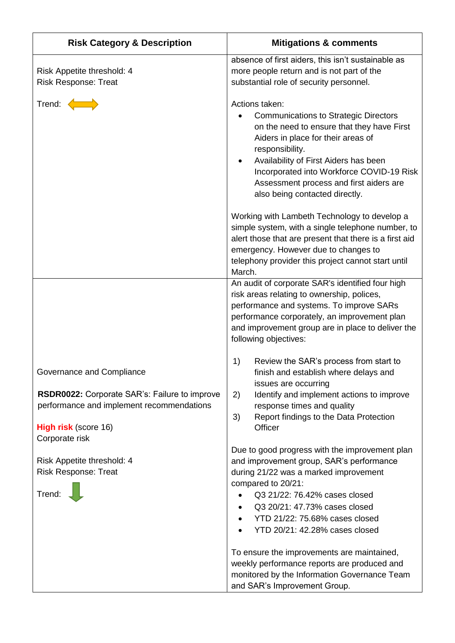| <b>Risk Category &amp; Description</b>                                                                                                                                   | <b>Mitigations &amp; comments</b>                                                                                                                                                                                                                                                                                                                                                                                      |
|--------------------------------------------------------------------------------------------------------------------------------------------------------------------------|------------------------------------------------------------------------------------------------------------------------------------------------------------------------------------------------------------------------------------------------------------------------------------------------------------------------------------------------------------------------------------------------------------------------|
| Risk Appetite threshold: 4<br><b>Risk Response: Treat</b>                                                                                                                | absence of first aiders, this isn't sustainable as<br>more people return and is not part of the<br>substantial role of security personnel.                                                                                                                                                                                                                                                                             |
| Trend:                                                                                                                                                                   | Actions taken:<br><b>Communications to Strategic Directors</b><br>on the need to ensure that they have First<br>Aiders in place for their areas of<br>responsibility.<br>Availability of First Aiders has been<br>Incorporated into Workforce COVID-19 Risk<br>Assessment process and first aiders are<br>also being contacted directly.                                                                               |
|                                                                                                                                                                          | Working with Lambeth Technology to develop a<br>simple system, with a single telephone number, to<br>alert those that are present that there is a first aid<br>emergency. However due to changes to<br>telephony provider this project cannot start until<br>March.                                                                                                                                                    |
|                                                                                                                                                                          | An audit of corporate SAR's identified four high<br>risk areas relating to ownership, polices,<br>performance and systems. To improve SARs<br>performance corporately, an improvement plan<br>and improvement group are in place to deliver the<br>following objectives:                                                                                                                                               |
| Governance and Compliance<br>RSDR0022: Corporate SAR's: Failure to improve<br>performance and implement recommendations<br><b>High risk (score 16)</b><br>Corporate risk | 1)<br>Review the SAR's process from start to<br>finish and establish where delays and<br>issues are occurring<br>Identify and implement actions to improve<br>2)<br>response times and quality<br>Report findings to the Data Protection<br>3)<br>Officer                                                                                                                                                              |
| Risk Appetite threshold: 4<br><b>Risk Response: Treat</b><br>Trend:                                                                                                      | Due to good progress with the improvement plan<br>and improvement group, SAR's performance<br>during 21/22 was a marked improvement<br>compared to 20/21:<br>Q3 21/22: 76.42% cases closed<br>Q3 20/21: 47.73% cases closed<br>$\bullet$<br>YTD 21/22: 75.68% cases closed<br>$\bullet$<br>YTD 20/21: 42.28% cases closed<br>To ensure the improvements are maintained,<br>weekly performance reports are produced and |
|                                                                                                                                                                          | monitored by the Information Governance Team<br>and SAR's Improvement Group.                                                                                                                                                                                                                                                                                                                                           |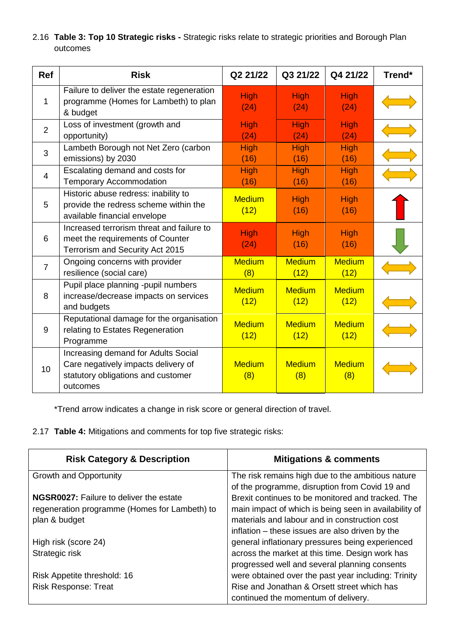2.16 **Table 3: Top 10 Strategic risks -** Strategic risks relate to strategic priorities and Borough Plan outcomes

| <b>Ref</b>     | <b>Risk</b>                                                                                                                  | Q2 21/22              | Q3 21/22              | Q4 21/22              | Trend* |
|----------------|------------------------------------------------------------------------------------------------------------------------------|-----------------------|-----------------------|-----------------------|--------|
| 1              | Failure to deliver the estate regeneration<br>programme (Homes for Lambeth) to plan<br>& budget                              | <b>High</b><br>(24)   | <b>High</b><br>(24)   | <b>High</b><br>(24)   |        |
| $\overline{2}$ | Loss of investment (growth and<br>opportunity)                                                                               | <b>High</b><br>(24)   | <b>High</b><br>(24)   | <b>High</b><br>(24)   |        |
| 3              | Lambeth Borough not Net Zero (carbon<br>emissions) by 2030                                                                   | <b>High</b><br>(16)   | <b>High</b><br>(16)   | <b>High</b><br>(16)   |        |
| 4              | Escalating demand and costs for<br><b>Temporary Accommodation</b>                                                            | <b>High</b><br>(16)   | <b>High</b><br>(16)   | <b>High</b><br>(16)   |        |
| 5              | Historic abuse redress: inability to<br>provide the redress scheme within the<br>available financial envelope                | <b>Medium</b><br>(12) | <b>High</b><br>(16)   | <b>High</b><br>(16)   |        |
| 6              | Increased terrorism threat and failure to<br>meet the requirements of Counter<br>Terrorism and Security Act 2015             | <b>High</b><br>(24)   | High<br>(16)          | <b>High</b><br>(16)   |        |
| $\overline{7}$ | Ongoing concerns with provider<br>resilience (social care)                                                                   | <b>Medium</b><br>(8)  | <b>Medium</b><br>(12) | <b>Medium</b><br>(12) |        |
| 8              | Pupil place planning -pupil numbers<br>increase/decrease impacts on services<br>and budgets                                  | <b>Medium</b><br>(12) | <b>Medium</b><br>(12) | <b>Medium</b><br>(12) |        |
| 9              | Reputational damage for the organisation<br>relating to Estates Regeneration<br>Programme                                    | <b>Medium</b><br>(12) | <b>Medium</b><br>(12) | <b>Medium</b><br>(12) |        |
| 10             | Increasing demand for Adults Social<br>Care negatively impacts delivery of<br>statutory obligations and customer<br>outcomes | <b>Medium</b><br>(8)  | <b>Medium</b><br>(8)  | <b>Medium</b><br>(8)  |        |

\*Trend arrow indicates a change in risk score or general direction of travel.

2.17 **Table 4:** Mitigations and comments for top five strategic risks:

| <b>Risk Category &amp; Description</b>         | <b>Mitigations &amp; comments</b>                     |
|------------------------------------------------|-------------------------------------------------------|
| <b>Growth and Opportunity</b>                  | The risk remains high due to the ambitious nature     |
|                                                | of the programme, disruption from Covid 19 and        |
| <b>NGSR0027:</b> Failure to deliver the estate | Brexit continues to be monitored and tracked. The     |
| regeneration programme (Homes for Lambeth) to  | main impact of which is being seen in availability of |
| plan & budget                                  | materials and labour and in construction cost         |
|                                                | inflation – these issues are also driven by the       |
| High risk (score 24)                           | general inflationary pressures being experienced      |
| Strategic risk                                 | across the market at this time. Design work has       |
|                                                | progressed well and several planning consents         |
| Risk Appetite threshold: 16                    | were obtained over the past year including: Trinity   |
| <b>Risk Response: Treat</b>                    | Rise and Jonathan & Orsett street which has           |
|                                                | continued the momentum of delivery.                   |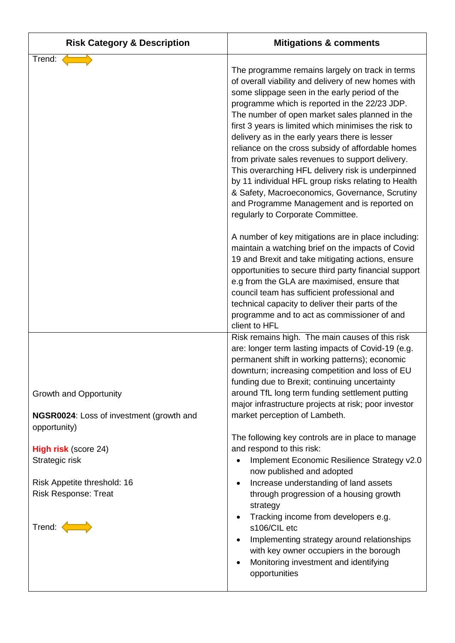| <b>Risk Category &amp; Description</b>                                                                                                                             | <b>Mitigations &amp; comments</b>                                                                                                                                                                                                                                                                                                                                                                                                                                                                                                                                                                                                                                                                                                                                                                                                                                                                                                                                                                                                                                                                            |
|--------------------------------------------------------------------------------------------------------------------------------------------------------------------|--------------------------------------------------------------------------------------------------------------------------------------------------------------------------------------------------------------------------------------------------------------------------------------------------------------------------------------------------------------------------------------------------------------------------------------------------------------------------------------------------------------------------------------------------------------------------------------------------------------------------------------------------------------------------------------------------------------------------------------------------------------------------------------------------------------------------------------------------------------------------------------------------------------------------------------------------------------------------------------------------------------------------------------------------------------------------------------------------------------|
| Trend:                                                                                                                                                             | The programme remains largely on track in terms<br>of overall viability and delivery of new homes with<br>some slippage seen in the early period of the<br>programme which is reported in the 22/23 JDP.<br>The number of open market sales planned in the<br>first 3 years is limited which minimises the risk to<br>delivery as in the early years there is lesser<br>reliance on the cross subsidy of affordable homes<br>from private sales revenues to support delivery.<br>This overarching HFL delivery risk is underpinned<br>by 11 individual HFL group risks relating to Health<br>& Safety, Macroeconomics, Governance, Scrutiny<br>and Programme Management and is reported on<br>regularly to Corporate Committee.<br>A number of key mitigations are in place including:<br>maintain a watching brief on the impacts of Covid<br>19 and Brexit and take mitigating actions, ensure<br>opportunities to secure third party financial support<br>e.g from the GLA are maximised, ensure that<br>council team has sufficient professional and<br>technical capacity to deliver their parts of the |
| <b>Growth and Opportunity</b><br>NGSR0024: Loss of investment (growth and                                                                                          | programme and to act as commissioner of and<br>client to HFL<br>Risk remains high. The main causes of this risk<br>are: longer term lasting impacts of Covid-19 (e.g.<br>permanent shift in working patterns); economic<br>downturn; increasing competition and loss of EU<br>funding due to Brexit; continuing uncertainty<br>around TfL long term funding settlement putting<br>major infrastructure projects at risk; poor investor<br>market perception of Lambeth.                                                                                                                                                                                                                                                                                                                                                                                                                                                                                                                                                                                                                                      |
| opportunity)<br><b>High risk (score 24)</b><br>Strategic risk<br>Risk Appetite threshold: 16<br><b>Risk Response: Treat</b><br>Trend: $\left\langle \right\rangle$ | The following key controls are in place to manage<br>and respond to this risk:<br>Implement Economic Resilience Strategy v2.0<br>now published and adopted<br>Increase understanding of land assets<br>$\bullet$<br>through progression of a housing growth<br>strategy<br>Tracking income from developers e.g.<br>$\bullet$<br>s106/CIL etc<br>Implementing strategy around relationships<br>with key owner occupiers in the borough<br>Monitoring investment and identifying<br>opportunities                                                                                                                                                                                                                                                                                                                                                                                                                                                                                                                                                                                                              |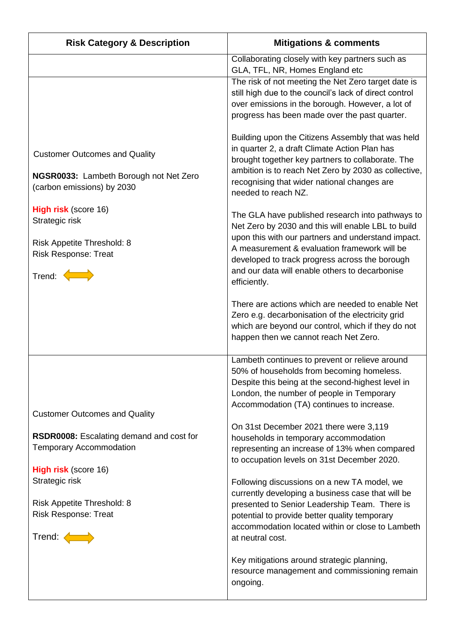| <b>Risk Category &amp; Description</b>                                                                                                                                                                                                               | <b>Mitigations &amp; comments</b>                                                                                                                                                                                                                                                                                                                                                                                                                                                                                                                                                                                                                                             |
|------------------------------------------------------------------------------------------------------------------------------------------------------------------------------------------------------------------------------------------------------|-------------------------------------------------------------------------------------------------------------------------------------------------------------------------------------------------------------------------------------------------------------------------------------------------------------------------------------------------------------------------------------------------------------------------------------------------------------------------------------------------------------------------------------------------------------------------------------------------------------------------------------------------------------------------------|
|                                                                                                                                                                                                                                                      | Collaborating closely with key partners such as<br>GLA, TFL, NR, Homes England etc                                                                                                                                                                                                                                                                                                                                                                                                                                                                                                                                                                                            |
|                                                                                                                                                                                                                                                      | The risk of not meeting the Net Zero target date is<br>still high due to the council's lack of direct control<br>over emissions in the borough. However, a lot of<br>progress has been made over the past quarter.                                                                                                                                                                                                                                                                                                                                                                                                                                                            |
| <b>Customer Outcomes and Quality</b><br>NGSR0033: Lambeth Borough not Net Zero<br>(carbon emissions) by 2030<br>High risk (score 16)<br>Strategic risk<br>Risk Appetite Threshold: 8<br><b>Risk Response: Treat</b><br>Trend: $\left\langle \right $ | Building upon the Citizens Assembly that was held<br>in quarter 2, a draft Climate Action Plan has<br>brought together key partners to collaborate. The<br>ambition is to reach Net Zero by 2030 as collective,<br>recognising that wider national changes are<br>needed to reach NZ.<br>The GLA have published research into pathways to<br>Net Zero by 2030 and this will enable LBL to build<br>upon this with our partners and understand impact.<br>A measurement & evaluation framework will be<br>developed to track progress across the borough<br>and our data will enable others to decarbonise<br>efficiently.<br>There are actions which are needed to enable Net |
|                                                                                                                                                                                                                                                      | Zero e.g. decarbonisation of the electricity grid<br>which are beyond our control, which if they do not<br>happen then we cannot reach Net Zero.                                                                                                                                                                                                                                                                                                                                                                                                                                                                                                                              |
|                                                                                                                                                                                                                                                      | Lambeth continues to prevent or relieve around<br>50% of households from becoming homeless.<br>Despite this being at the second-highest level in<br>London, the number of people in Temporary<br>Accommodation (TA) continues to increase.                                                                                                                                                                                                                                                                                                                                                                                                                                    |
| <b>Customer Outcomes and Quality</b><br><b>RSDR0008:</b> Escalating demand and cost for<br><b>Temporary Accommodation</b><br><b>High risk</b> (score 16)                                                                                             | On 31st December 2021 there were 3,119<br>households in temporary accommodation<br>representing an increase of 13% when compared<br>to occupation levels on 31st December 2020.                                                                                                                                                                                                                                                                                                                                                                                                                                                                                               |
| Strategic risk<br>Risk Appetite Threshold: 8                                                                                                                                                                                                         | Following discussions on a new TA model, we<br>currently developing a business case that will be<br>presented to Senior Leadership Team. There is                                                                                                                                                                                                                                                                                                                                                                                                                                                                                                                             |
| <b>Risk Response: Treat</b><br>Trend: $\left\langle \right $                                                                                                                                                                                         | potential to provide better quality temporary<br>accommodation located within or close to Lambeth<br>at neutral cost.                                                                                                                                                                                                                                                                                                                                                                                                                                                                                                                                                         |
|                                                                                                                                                                                                                                                      | Key mitigations around strategic planning,<br>resource management and commissioning remain<br>ongoing.                                                                                                                                                                                                                                                                                                                                                                                                                                                                                                                                                                        |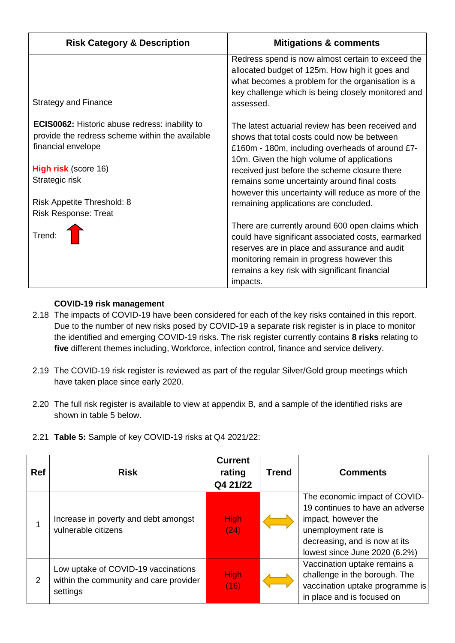| <b>Risk Category &amp; Description</b>                                                                                         | <b>Mitigations &amp; comments</b>                                                                                                                                                                                                                                  |
|--------------------------------------------------------------------------------------------------------------------------------|--------------------------------------------------------------------------------------------------------------------------------------------------------------------------------------------------------------------------------------------------------------------|
| Strategy and Finance                                                                                                           | Redress spend is now almost certain to exceed the<br>allocated budget of 125m. How high it goes and<br>what becomes a problem for the organisation is a<br>key challenge which is being closely monitored and<br>assessed.                                         |
| <b>ECIS0062:</b> Historic abuse redress: inability to<br>provide the redress scheme within the available<br>financial envelope | The latest actuarial review has been received and<br>shows that total costs could now be between<br>£160m - 180m, including overheads of around £7-<br>10m. Given the high volume of applications                                                                  |
| <b>High risk</b> (score 16)<br>Strategic risk                                                                                  | received just before the scheme closure there<br>remains some uncertainty around final costs<br>however this uncertainty will reduce as more of the                                                                                                                |
| Risk Appetite Threshold: 8<br><b>Risk Response: Treat</b>                                                                      | remaining applications are concluded.                                                                                                                                                                                                                              |
| Trend:                                                                                                                         | There are currently around 600 open claims which<br>could have significant associated costs, earmarked<br>reserves are in place and assurance and audit<br>monitoring remain in progress however this<br>remains a key risk with significant financial<br>impacts. |

## **COVID-19 risk management**

- 2.18 The impacts of COVID-19 have been considered for each of the key risks contained in this report. Due to the number of new risks posed by COVID-19 a separate risk register is in place to monitor the identified and emerging COVID-19 risks. The risk register currently contains **8 risks** relating to **five** different themes including, Workforce, infection control, finance and service delivery.
- 2.19 The COVID-19 risk register is reviewed as part of the regular Silver/Gold group meetings which have taken place since early 2020.
- 2.20 The full risk register is available to view at appendix B, and a sample of the identified risks are shown in table 5 below.
- 2.21 **Table 5:** Sample of key COVID-19 risks at Q4 2021/22:

| <b>Ref</b> | <b>Risk</b>                                                                               | <b>Current</b><br>rating<br>Q4 21/22 | <b>Trend</b> | <b>Comments</b>                                                                                                                                                                   |
|------------|-------------------------------------------------------------------------------------------|--------------------------------------|--------------|-----------------------------------------------------------------------------------------------------------------------------------------------------------------------------------|
|            | Increase in poverty and debt amongst<br>vulnerable citizens                               | <b>High</b><br>(24)                  |              | The economic impact of COVID-<br>19 continues to have an adverse<br>impact, however the<br>unemployment rate is<br>decreasing, and is now at its<br>lowest since June 2020 (6.2%) |
| 2          | Low uptake of COVID-19 vaccinations<br>within the community and care provider<br>settings | <b>High</b><br>(16)                  |              | Vaccination uptake remains a<br>challenge in the borough. The<br>vaccination uptake programme is<br>in place and is focused on                                                    |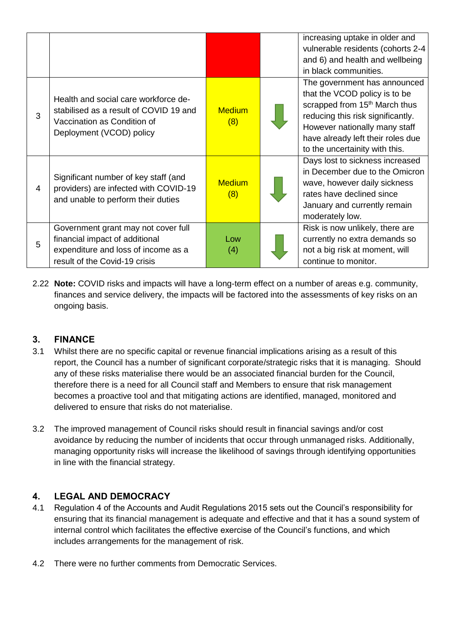|   |                                                                                                                                               |                      | increasing uptake in older and<br>vulnerable residents (cohorts 2-4<br>and 6) and health and wellbeing<br>in black communities.                                                                                                                         |
|---|-----------------------------------------------------------------------------------------------------------------------------------------------|----------------------|---------------------------------------------------------------------------------------------------------------------------------------------------------------------------------------------------------------------------------------------------------|
| 3 | Health and social care workforce de-<br>stabilised as a result of COVID 19 and<br>Vaccination as Condition of<br>Deployment (VCOD) policy     | <b>Medium</b><br>(8) | The government has announced<br>that the VCOD policy is to be<br>scrapped from 15 <sup>th</sup> March thus<br>reducing this risk significantly.<br>However nationally many staff<br>have already left their roles due<br>to the uncertainity with this. |
| 4 | Significant number of key staff (and<br>providers) are infected with COVID-19<br>and unable to perform their duties                           | <b>Medium</b><br>(8) | Days lost to sickness increased<br>in December due to the Omicron<br>wave, however daily sickness<br>rates have declined since<br>January and currently remain<br>moderately low.                                                                       |
| 5 | Government grant may not cover full<br>financial impact of additional<br>expenditure and loss of income as a<br>result of the Covid-19 crisis | Low<br>(4)           | Risk is now unlikely, there are<br>currently no extra demands so<br>not a big risk at moment, will<br>continue to monitor.                                                                                                                              |

2.22 **Note:** COVID risks and impacts will have a long-term effect on a number of areas e.g. community, finances and service delivery, the impacts will be factored into the assessments of key risks on an ongoing basis.

## **3. FINANCE**

- 3.1 Whilst there are no specific capital or revenue financial implications arising as a result of this report, the Council has a number of significant corporate/strategic risks that it is managing. Should any of these risks materialise there would be an associated financial burden for the Council, therefore there is a need for all Council staff and Members to ensure that risk management becomes a proactive tool and that mitigating actions are identified, managed, monitored and delivered to ensure that risks do not materialise.
- 3.2 The improved management of Council risks should result in financial savings and/or cost avoidance by reducing the number of incidents that occur through unmanaged risks. Additionally, managing opportunity risks will increase the likelihood of savings through identifying opportunities in line with the financial strategy.

# **4. LEGAL AND DEMOCRACY**

- 4.1 Regulation 4 of the Accounts and Audit Regulations 2015 sets out the Council's responsibility for ensuring that its financial management is adequate and effective and that it has a sound system of internal control which facilitates the effective exercise of the Council's functions, and which includes arrangements for the management of risk.
- 4.2 There were no further comments from Democratic Services.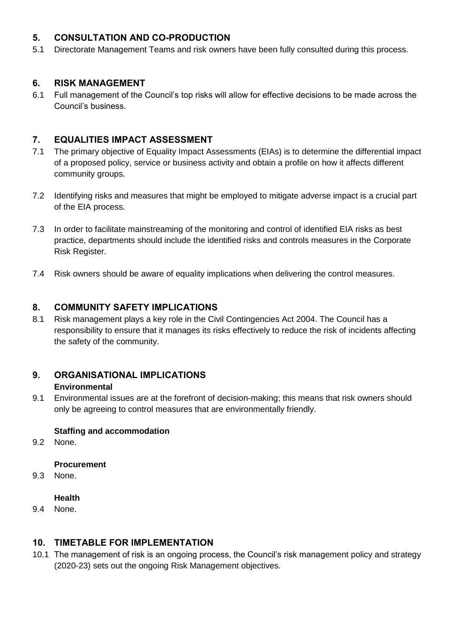## **5. CONSULTATION AND CO-PRODUCTION**

5.1 Directorate Management Teams and risk owners have been fully consulted during this process.

## **6. RISK MANAGEMENT**

6.1 Full management of the Council's top risks will allow for effective decisions to be made across the Council's business.

## **7. EQUALITIES IMPACT ASSESSMENT**

- 7.1 The primary objective of Equality Impact Assessments (EIAs) is to determine the differential impact of a proposed policy, service or business activity and obtain a profile on how it affects different community groups.
- 7.2 Identifying risks and measures that might be employed to mitigate adverse impact is a crucial part of the EIA process.
- 7.3 In order to facilitate mainstreaming of the monitoring and control of identified EIA risks as best practice, departments should include the identified risks and controls measures in the Corporate Risk Register.
- 7.4 Risk owners should be aware of equality implications when delivering the control measures.

## **8. COMMUNITY SAFETY IMPLICATIONS**

8.1 Risk management plays a key role in the Civil Contingencies Act 2004. The Council has a responsibility to ensure that it manages its risks effectively to reduce the risk of incidents affecting the safety of the community.

#### **9. ORGANISATIONAL IMPLICATIONS Environmental**

9.1 Environmental issues are at the forefront of decision-making; this means that risk owners should only be agreeing to control measures that are environmentally friendly.

## **Staffing and accommodation**

9.2 None.

## **Procurement**

9.3 None.

## **Health**

9.4 None.

## **10. TIMETABLE FOR IMPLEMENTATION**

10.1 The management of risk is an ongoing process, the Council's risk management policy and strategy (2020-23) sets out the ongoing Risk Management objectives.